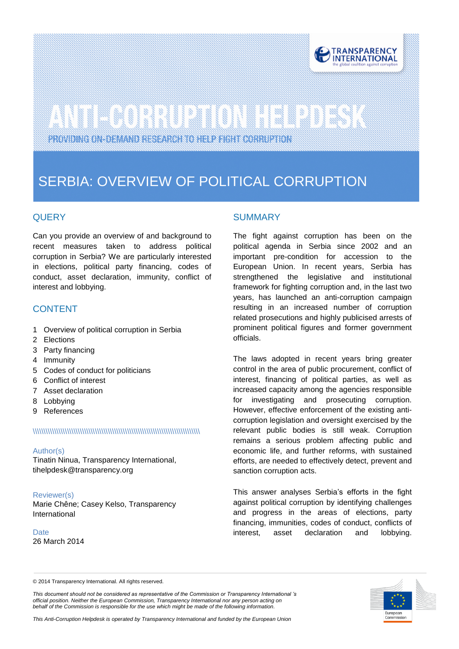

# 

PROVIDING ON-DEMAND RESEARCH TO HELP FIGHT CORRUPTION

# SERBIA: OVERVIEW OF POLITICAL CORRUPTION

# **QUERY**

Can you provide an overview of and background to recent measures taken to address political corruption in Serbia? We are particularly interested in elections, political party financing, codes of conduct, asset declaration, immunity, conflict of interest and lobbying.

## CONTENT

- 1 Overview of political corruption in Serbia
- 2 Elections
- 3 Party financing
- 4 Immunity
- 5 Codes of conduct for politicians
- 6 Conflict of interest
- 7 Asset declaration
- 8 Lobbying
- 9 References

#### \\\\\\\\\\\\\\\\\\\\\\\\\\\\\\\\\\\\\\\\\\\\\\\\\\\\\\\\\\\\\\\\\\\\\\\\\\\\\\

#### Author(s)

Tinatin Ninua, Transparency International, tihelpdesk@transparency.org

#### Reviewer(s)

Marie Chêne; Casey Kelso, Transparency International

**Date** 26 March 2014

### **SUMMARY**

The fight against corruption has been on the political agenda in Serbia since 2002 and an important pre-condition for accession to the European Union. In recent years, Serbia has strengthened the legislative and institutional framework for fighting corruption and, in the last two years, has launched an anti-corruption campaign resulting in an increased number of corruption related prosecutions and highly publicised arrests of prominent political figures and former government officials.

The laws adopted in recent years bring greater control in the area of public procurement, conflict of interest, financing of political parties, as well as increased capacity among the agencies responsible for investigating and prosecuting corruption. However, effective enforcement of the existing anticorruption legislation and oversight exercised by the relevant public bodies is still weak. Corruption remains a serious problem affecting public and economic life, and further reforms, with sustained efforts, are needed to effectively detect, prevent and sanction corruption acts.

This answer analyses Serbia's efforts in the fight against political corruption by identifying challenges and progress in the areas of elections, party financing, immunities, codes of conduct, conflicts of interest, asset declaration and lobbying.

*This document should not be considered as representative of the Commission or Transparency International 's official position. Neither the European Commission, Transparency International nor any person acting on behalf of the Commission is responsible for the use which might be made of the following information.* 



<sup>© 2014</sup> Transparency International. All rights reserved.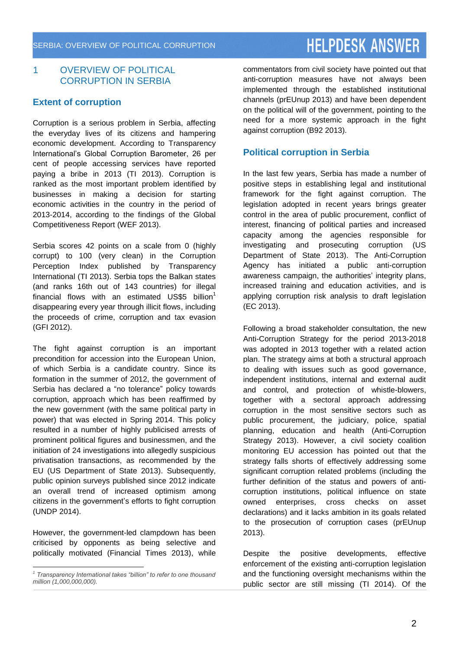# **HELPDESK ANSWER**

### 1 OVERVIEW OF POLITICAL CORRUPTION IN SERBIA

## **Extent of corruption**

Corruption is a serious problem in Serbia, affecting the everyday lives of its citizens and hampering economic development. According to Transparency International's Global Corruption Barometer, 26 per cent of people accessing services have reported paying a bribe in 2013 (TI 2013). Corruption is ranked as the most important problem identified by businesses in making a decision for starting economic activities in the country in the period of 2013-2014, according to the findings of the Global Competitiveness Report (WEF 2013).

Serbia scores 42 points on a scale from 0 (highly corrupt) to 100 (very clean) in the Corruption Perception Index published by Transparency International (TI 2013). Serbia tops the Balkan states (and ranks 16th out of 143 countries) for illegal financial flows with an estimated US\$5 billion $1$ disappearing every year through illicit flows, including the proceeds of crime, corruption and tax evasion (GFI 2012).

The fight against corruption is an important precondition for accession into the European Union, of which Serbia is a candidate country. Since its formation in the summer of 2012, the government of Serbia has declared a "no tolerance" policy towards corruption, approach which has been reaffirmed by the new government (with the same political party in power) that was elected in Spring 2014. This policy resulted in a number of highly publicised arrests of prominent political figures and businessmen, and the initiation of 24 investigations into allegedly suspicious privatisation transactions, as recommended by the EU (US Department of State 2013). Subsequently, public opinion surveys published since 2012 indicate an overall trend of increased optimism among citizens in the government's efforts to fight corruption (UNDP 2014).

However, the government-led clampdown has been criticised by opponents as being selective and politically motivated (Financial Times 2013), while commentators from civil society have pointed out that anti-corruption measures have not always been implemented through the established institutional channels (prEUnup 2013) and have been dependent on the political will of the government, pointing to the need for a more systemic approach in the fight against corruption (B92 2013).

# **Political corruption in Serbia**

In the last few years, Serbia has made a number of positive steps in establishing legal and institutional framework for the fight against corruption. The legislation adopted in recent years brings greater control in the area of public procurement, conflict of interest, financing of political parties and increased capacity among the agencies responsible for investigating and prosecuting corruption (US Department of State 2013). The Anti-Corruption Agency has initiated a public anti-corruption awareness campaign, the authorities' integrity plans, increased training and education activities, and is applying corruption risk analysis to draft legislation (EC 2013).

Following a broad stakeholder consultation, the new Anti-Corruption Strategy for the period 2013-2018 was adopted in 2013 together with a related action plan. The strategy aims at both a structural approach to dealing with issues such as good governance, independent institutions, internal and external audit and control, and protection of whistle-blowers, together with a sectoral approach addressing corruption in the most sensitive sectors such as public procurement, the judiciary, police, spatial planning, education and health (Anti-Corruption Strategy 2013). However, a civil society coalition monitoring EU accession has pointed out that the strategy falls shorts of effectively addressing some significant corruption related problems (including the further definition of the status and powers of anticorruption institutions, political influence on state owned enterprises, cross checks on asset declarations) and it lacks ambition in its goals related to the prosecution of corruption cases (prEUnup 2013).

Despite the positive developments, effective enforcement of the existing anti-corruption legislation and the functioning oversight mechanisms within the public sector are still missing (TI 2014). Of the

 *1 Transparency International takes "billion" to refer to one thousand million (1,000,000,000).*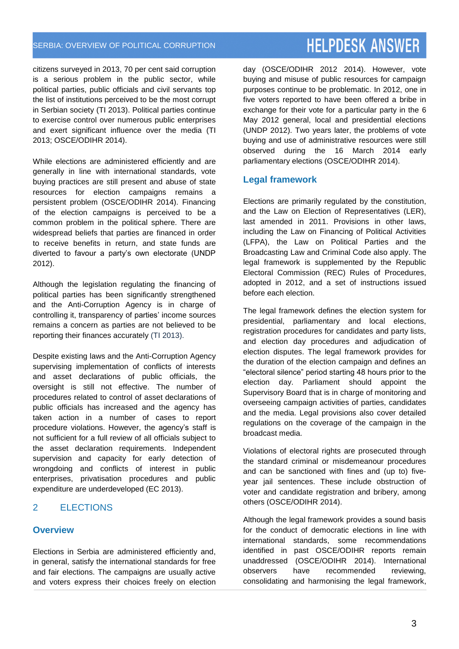citizens surveyed in 2013, 70 per cent said corruption is a serious problem in the public sector, while political parties, public officials and civil servants top the list of institutions perceived to be the most corrupt in Serbian society (TI 2013). Political parties continue to exercise control over numerous public enterprises and exert significant influence over the media (TI 2013; OSCE/ODIHR 2014).

While elections are administered efficiently and are generally in line with international standards, vote buying practices are still present and abuse of state resources for election campaigns remains a persistent problem (OSCE/ODIHR 2014). Financing of the election campaigns is perceived to be a common problem in the political sphere. There are widespread beliefs that parties are financed in order to receive benefits in return, and state funds are diverted to favour a party's own electorate (UNDP 2012).

Although the legislation regulating the financing of political parties has been significantly strengthened and the Anti-Corruption Agency is in charge of controlling it, transparency of parties' income sources remains a concern as parties are not believed to be reporting their finances accurately (TI 2013).

Despite existing laws and the Anti-Corruption Agency supervising implementation of conflicts of interests and asset declarations of public officials, the oversight is still not effective. The number of procedures related to control of asset declarations of public officials has increased and the agency has taken action in a number of cases to report procedure violations. However, the agency's staff is not sufficient for a full review of all officials subject to the asset declaration requirements. Independent supervision and capacity for early detection of wrongdoing and conflicts of interest in public enterprises, privatisation procedures and public expenditure are underdeveloped (EC 2013).

# 2 ELECTIONS

### **Overview**

Elections in Serbia are administered efficiently and, in general, satisfy the international standards for free and fair elections. The campaigns are usually active and voters express their choices freely on election day (OSCE/ODIHR 2012 2014). However, vote buying and misuse of public resources for campaign purposes continue to be problematic. In 2012, one in five voters reported to have been offered a bribe in exchange for their vote for a particular party in the 6 May 2012 general, local and presidential elections (UNDP 2012). Two years later, the problems of vote buying and use of administrative resources were still observed during the 16 March 2014 early parliamentary elections (OSCE/ODIHR 2014).

#### **Legal framework**

Elections are primarily regulated by the constitution, and the Law on Election of Representatives (LER), last amended in 2011. Provisions in other laws, including the Law on Financing of Political Activities (LFPA), the Law on Political Parties and the Broadcasting Law and Criminal Code also apply. The legal framework is supplemented by the Republic Electoral Commission (REC) Rules of Procedures, adopted in 2012, and a set of instructions issued before each election.

The legal framework defines the election system for presidential, parliamentary and local elections, registration procedures for candidates and party lists, and election day procedures and adjudication of election disputes. The legal framework provides for the duration of the election campaign and defines an "electoral silence" period starting 48 hours prior to the election day. Parliament should appoint the Supervisory Board that is in charge of monitoring and overseeing campaign activities of parties, candidates and the media. Legal provisions also cover detailed regulations on the coverage of the campaign in the broadcast media.

Violations of electoral rights are prosecuted through the standard criminal or misdemeanour procedures and can be sanctioned with fines and (up to) fiveyear jail sentences. These include obstruction of voter and candidate registration and bribery, among others (OSCE/ODIHR 2014).

Although the legal framework provides a sound basis for the conduct of democratic elections in line with international standards, some recommendations identified in past OSCE/ODIHR reports remain unaddressed (OSCE/ODIHR 2014). International observers have recommended reviewing, consolidating and harmonising the legal framework,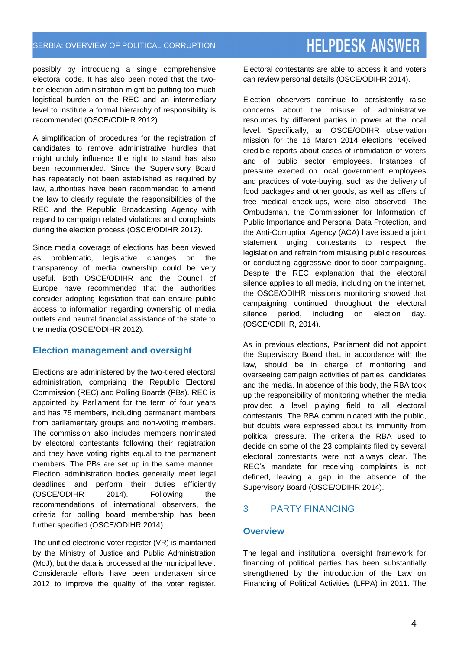#### possibly by introducing a single comprehensive electoral code. It has also been noted that the twotier election administration might be putting too much logistical burden on the REC and an intermediary level to institute a formal hierarchy of responsibility is recommended (OSCE/ODIHR 2012).

A simplification of procedures for the registration of candidates to remove administrative hurdles that might unduly influence the right to stand has also been recommended. Since the Supervisory Board has repeatedly not been established as required by law, authorities have been recommended to amend the law to clearly regulate the responsibilities of the REC and the Republic Broadcasting Agency with regard to campaign related violations and complaints during the election process (OSCE/ODIHR 2012).

Since media coverage of elections has been viewed as problematic, legislative changes on the transparency of media ownership could be very useful. Both OSCE/ODIHR and the Council of Europe have recommended that the authorities consider adopting legislation that can ensure public access to information regarding ownership of media outlets and neutral financial assistance of the state to the media (OSCE/ODIHR 2012).

# **Election management and oversight**

Elections are administered by the two-tiered electoral administration, comprising the Republic Electoral Commission (REC) and Polling Boards (PBs). REC is appointed by Parliament for the term of four years and has 75 members, including permanent members from parliamentary groups and non-voting members. The commission also includes members nominated by electoral contestants following their registration and they have voting rights equal to the permanent members. The PBs are set up in the same manner. Election administration bodies generally meet legal deadlines and perform their duties efficiently (OSCE/ODIHR 2014). Following the recommendations of international observers, the criteria for polling board membership has been further specified (OSCE/ODIHR 2014).

The unified electronic voter register (VR) is maintained by the Ministry of Justice and Public Administration (MoJ), but the data is processed at the municipal level. Considerable efforts have been undertaken since 2012 to improve the quality of the voter register. Electoral contestants are able to access it and voters can review personal details (OSCE/ODIHR 2014).

Election observers continue to persistently raise concerns about the misuse of administrative resources by different parties in power at the local level. Specifically, an OSCE/ODIHR observation mission for the 16 March 2014 elections received credible reports about cases of intimidation of voters and of public sector employees. Instances of pressure exerted on local government employees and practices of vote-buying, such as the delivery of food packages and other goods, as well as offers of free medical check-ups, were also observed. The Ombudsman, the Commissioner for Information of Public Importance and Personal Data Protection, and the Anti-Corruption Agency (ACA) have issued a joint statement urging contestants to respect the legislation and refrain from misusing public resources or conducting aggressive door-to-door campaigning. Despite the REC explanation that the electoral silence applies to all media, including on the internet, the OSCE/ODIHR mission's monitoring showed that campaigning continued throughout the electoral silence period, including on election day. (OSCE/ODIHR, 2014).

As in previous elections, Parliament did not appoint the Supervisory Board that, in accordance with the law, should be in charge of monitoring and overseeing campaign activities of parties, candidates and the media. In absence of this body, the RBA took up the responsibility of monitoring whether the media provided a level playing field to all electoral contestants. The RBA communicated with the public, but doubts were expressed about its immunity from political pressure. The criteria the RBA used to decide on some of the 23 complaints filed by several electoral contestants were not always clear. The REC's mandate for receiving complaints is not defined, leaving a gap in the absence of the Supervisory Board (OSCE/ODIHR 2014).

# 3 PARTY FINANCING

### **Overview**

The legal and institutional oversight framework for financing of political parties has been substantially strengthened by the introduction of the Law on Financing of Political Activities (LFPA) in 2011. The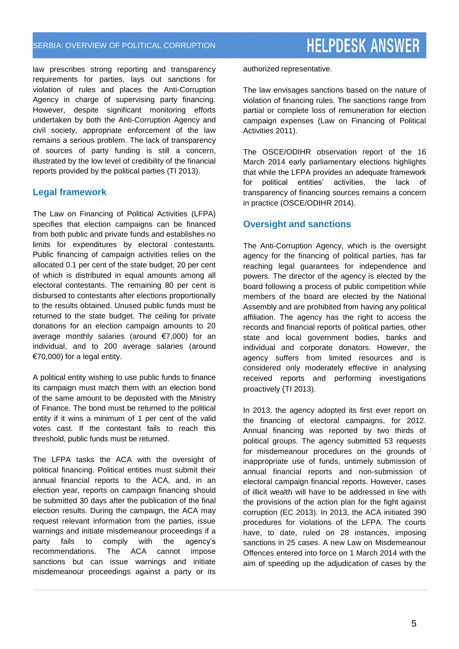law prescribes strong reporting and transparency requirements for parties, lays out sanctions for violation of rules and places the Anti-Corruption Agency in charge of supervising party financing. However, despite significant monitoring efforts undertaken by both the Anti-Corruption Agency and civil society, appropriate enforcement of the law remains a serious problem. The lack of transparency of sources of party funding is still a concern, illustrated by the low level of credibility of the financial reports provided by the political parties (TI 2013).

## **Legal framework**

The Law on Financing of Political Activities (LFPA) specifies that election campaigns can be financed from both public and private funds and establishes no limits for expenditures by electoral contestants. Public financing of campaign activities relies on the allocated 0.1 per cent of the state budget, 20 per cent of which is distributed in equal amounts among all electoral contestants. The remaining 80 per cent is disbursed to contestants after elections proportionally to the results obtained. Unused public funds must be returned to the state budget. The ceiling for private donations for an election campaign amounts to 20 average monthly salaries (around €7,000) for an individual, and to 200 average salaries (around €70,000) for a legal entity.

A political entity wishing to use public funds to finance its campaign must match them with an election bond of the same amount to be deposited with the Ministry of Finance. The bond must be returned to the political entity if it wins a minimum of 1 per cent of the valid votes cast. If the contestant fails to reach this threshold, public funds must be returned.

The LFPA tasks the ACA with the oversight of political financing. Political entities must submit their annual financial reports to the ACA, and, in an election year, reports on campaign financing should be submitted 30 days after the publication of the final election results. During the campaign, the ACA may request relevant information from the parties, issue warnings and initiate misdemeanour proceedings if a party fails to comply with the agency's recommendations. The ACA cannot impose sanctions but can issue warnings and initiate misdemeanour proceedings against a party or its

authorized representative.

The law envisages sanctions based on the nature of violation of financing rules. The sanctions range from partial or complete loss of remuneration for election campaign expenses (Law on Financing of Political Activities 2011).

The OSCE/ODIHR observation report of the 16 March 2014 early parliamentary elections highlights that while the LFPA provides an adequate framework for political entities' activities, the lack of transparency of financing sources remains a concern in practice (OSCE/ODIHR 2014).

## **Oversight and sanctions**

The Anti-Corruption Agency, which is the oversight agency for the financing of political parties, has far reaching legal guarantees for independence and powers. The director of the agency is elected by the board following a process of public competition while members of the board are elected by the National Assembly and are prohibited from having any political affiliation. The agency has the right to access the records and financial reports of political parties, other state and local government bodies, banks and individual and corporate donators. However, the agency suffers from limited resources and is considered only moderately effective in analysing received reports and performing investigations proactively (TI 2013).

In 2013, the agency adopted its first ever report on the financing of electoral campaigns, for 2012. Annual financing was reported by two thirds of political groups. The agency submitted 53 requests for misdemeanour procedures on the grounds of inappropriate use of funds, untimely submission of annual financial reports and non-submission of electoral campaign financial reports. However, cases of illicit wealth will have to be addressed in line with the provisions of the action plan for the fight against corruption (EC 2013). In 2013, the ACA initiated 390 procedures for violations of the LFPA. The courts have, to date, ruled on 28 instances, imposing sanctions in 25 cases. A new Law on Misdemeanour Offences entered into force on 1 March 2014 with the aim of speeding up the adjudication of cases by the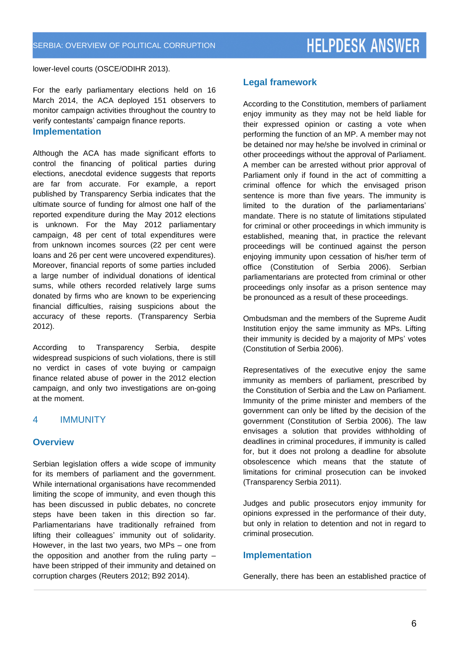# **HELPDESK ANSWER**

lower-level courts (OSCE/ODIHR 2013).

For the early parliamentary elections held on 16 March 2014, the ACA deployed 151 observers to monitor campaign activities throughout the country to verify contestants' campaign finance reports.

#### **Implementation**

Although the ACA has made significant efforts to control the financing of political parties during elections, anecdotal evidence suggests that reports are far from accurate. For example, a report published by Transparency Serbia indicates that the ultimate source of funding for almost one half of the reported expenditure during the May 2012 elections is unknown. For the May 2012 parliamentary campaign, 48 per cent of total expenditures were from unknown incomes sources (22 per cent were loans and 26 per cent were uncovered expenditures). Moreover, financial reports of some parties included a large number of individual donations of identical sums, while others recorded relatively large sums donated by firms who are known to be experiencing financial difficulties, raising suspicions about the accuracy of these reports. (Transparency Serbia 2012).

According to Transparency Serbia, despite widespread suspicions of such violations, there is still no verdict in cases of vote buying or campaign finance related abuse of power in the 2012 election campaign, and only two investigations are on-going at the moment.

### 4 IMMUNITY

#### **Overview**

Serbian legislation offers a wide scope of immunity for its members of parliament and the government. While international organisations have recommended limiting the scope of immunity, and even though this has been discussed in public debates, no concrete steps have been taken in this direction so far. Parliamentarians have traditionally refrained from lifting their colleagues' immunity out of solidarity. However, in the last two years, two MPs – one from the opposition and another from the ruling party – have been stripped of their immunity and detained on corruption charges (Reuters 2012; B92 2014).

#### **Legal framework**

According to the Constitution, members of parliament enjoy immunity as they may not be held liable for their expressed opinion or casting a vote when performing the function of an MP. A member may not be detained nor may he/she be involved in criminal or other proceedings without the approval of Parliament. A member can be arrested without prior approval of Parliament only if found in the act of committing a criminal offence for which the envisaged prison sentence is more than five years. The immunity is limited to the duration of the parliamentarians' mandate. There is no statute of limitations stipulated for criminal or other proceedings in which immunity is established, meaning that, in practice the relevant proceedings will be continued against the person enjoying immunity upon cessation of his/her term of office (Constitution of Serbia 2006). Serbian parliamentarians are protected from criminal or other proceedings only insofar as a prison sentence may be pronounced as a result of these proceedings.

Ombudsman and the members of the Supreme Audit Institution enjoy the same immunity as MPs. Lifting their immunity is decided by a majority of MPs' votes (Constitution of Serbia 2006).

Representatives of the executive enjoy the same immunity as members of parliament, prescribed by the Constitution of Serbia and the Law on Parliament. Immunity of the prime minister and members of the government can only be lifted by the decision of the government (Constitution of Serbia 2006). The law envisages a solution that provides withholding of deadlines in criminal procedures, if immunity is called for, but it does not prolong a deadline for absolute obsolescence which means that the statute of limitations for criminal prosecution can be invoked (Transparency Serbia 2011).

Judges and public prosecutors enjoy immunity for opinions expressed in the performance of their duty, but only in relation to detention and not in regard to criminal prosecution.

#### **Implementation**

Generally, there has been an established practice of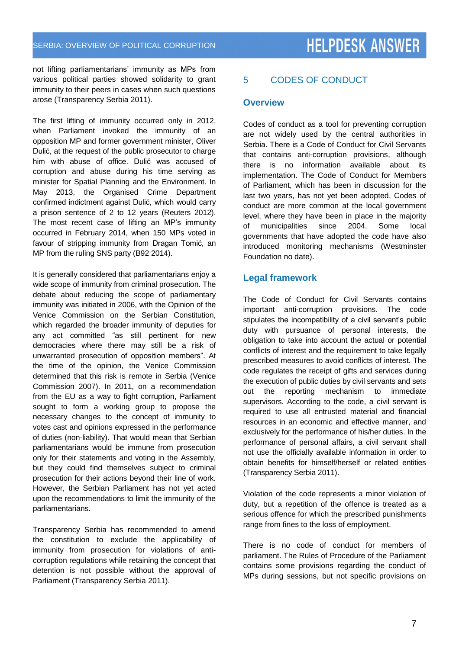not lifting parliamentarians' immunity as MPs from various political parties showed solidarity to grant immunity to their peers in cases when such questions arose (Transparency Serbia 2011).

The first lifting of immunity occurred only in 2012, when Parliament invoked the immunity of an opposition MP and former government minister, Oliver Dulić, at the request of the public prosecutor to charge him with abuse of office. Dulić was accused of corruption and abuse during his time serving as minister for Spatial Planning and the Environment. In May 2013, the Organised Crime Department confirmed indictment against Dulić, which would carry a prison sentence of 2 to 12 years (Reuters 2012). The most recent case of lifting an MP's immunity occurred in February 2014, when 150 MPs voted in favour of stripping immunity from Dragan Tomić, an MP from the ruling SNS party (B92 2014).

It is generally considered that parliamentarians enjoy a wide scope of immunity from criminal prosecution. The debate about reducing the scope of parliamentary immunity was initiated in 2006, with the Opinion of the Venice Commission on the Serbian Constitution, which regarded the broader immunity of deputies for any act committed "as still pertinent for new democracies where there may still be a risk of unwarranted prosecution of opposition members". At the time of the opinion, the Venice Commission determined that this risk is remote in Serbia (Venice Commission 2007). In 2011, on a recommendation from the EU as a way to fight corruption, Parliament sought to form a working group to propose the necessary changes to the concept of immunity to votes cast and opinions expressed in the performance of duties (non-liability). That would mean that Serbian parliamentarians would be immune from prosecution only for their statements and voting in the Assembly, but they could find themselves subject to criminal prosecution for their actions beyond their line of work. However, the Serbian Parliament has not yet acted upon the recommendations to limit the immunity of the parliamentarians.

Transparency Serbia has recommended to amend the constitution to exclude the applicability of immunity from prosecution for violations of anticorruption regulations while retaining the concept that detention is not possible without the approval of Parliament (Transparency Serbia 2011).

# 5 CODES OF CONDUCT

#### **Overview**

Codes of conduct as a tool for preventing corruption are not widely used by the central authorities in Serbia. There is a Code of Conduct for Civil Servants that contains anti-corruption provisions, although there is no information available about its implementation. The Code of Conduct for Members of Parliament, which has been in discussion for the last two years, has not yet been adopted. Codes of conduct are more common at the local government level, where they have been in place in the majority of municipalities since 2004. Some local governments that have adopted the code have also introduced monitoring mechanisms (Westminster Foundation no date).

### **Legal framework**

The Code of Conduct for Civil Servants contains important anti-corruption provisions. The code stipulates the incompatibility of a civil servant's public duty with pursuance of personal interests, the obligation to take into account the actual or potential conflicts of interest and the requirement to take legally prescribed measures to avoid conflicts of interest. The code regulates the receipt of gifts and services during the execution of public duties by civil servants and sets out the reporting mechanism to immediate supervisors. According to the code, a civil servant is required to use all entrusted material and financial resources in an economic and effective manner, and exclusively for the performance of his/her duties. In the performance of personal affairs, a civil servant shall not use the officially available information in order to obtain benefits for himself/herself or related entities (Transparency Serbia 2011).

Violation of the code represents a minor violation of duty, but a repetition of the offence is treated as a serious offence for which the prescribed punishments range from fines to the loss of employment.

There is no code of conduct for members of parliament. The Rules of Procedure of the Parliament contains some provisions regarding the conduct of MPs during sessions, but not specific provisions on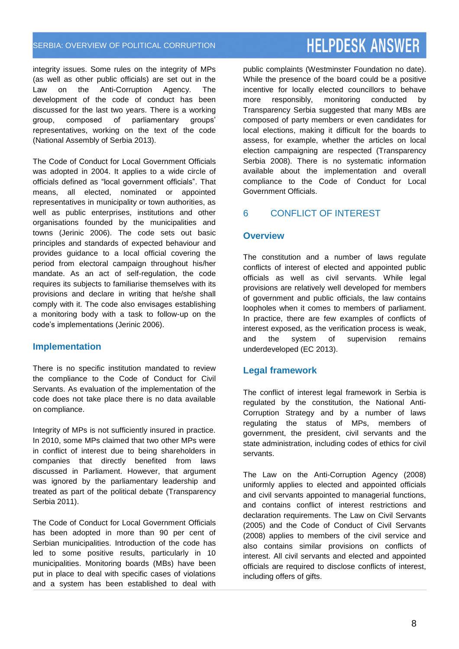integrity issues. Some rules on the integrity of MPs (as well as other public officials) are set out in the Law on the Anti-Corruption Agency. The development of the code of conduct has been discussed for the last two years. There is a working group, composed of parliamentary groups' representatives, working on the text of the code (National Assembly of Serbia 2013).

The Code of Conduct for Local Government Officials was adopted in 2004. It applies to a wide circle of officials defined as "local government officials". That means, all elected, nominated or appointed representatives in municipality or town authorities, as well as public enterprises, institutions and other organisations founded by the municipalities and towns (Jerinic 2006). The code sets out basic principles and standards of expected behaviour and provides guidance to a local official covering the period from electoral campaign throughout his/her mandate. As an act of self-regulation, the code requires its subjects to familiarise themselves with its provisions and declare in writing that he/she shall comply with it. The code also envisages establishing a monitoring body with a task to follow-up on the code's implementations (Jerinic 2006).

### **Implementation**

There is no specific institution mandated to review the compliance to the Code of Conduct for Civil Servants. As evaluation of the implementation of the code does not take place there is no data available on compliance.

Integrity of MPs is not sufficiently insured in practice. In 2010, some MPs claimed that two other MPs were in conflict of interest due to being shareholders in companies that directly benefited from laws discussed in Parliament. However, that argument was ignored by the parliamentary leadership and treated as part of the political debate (Transparency Serbia 2011).

The Code of Conduct for Local Government Officials has been adopted in more than 90 per cent of Serbian municipalities. Introduction of the code has led to some positive results, particularly in 10 municipalities. Monitoring boards (MBs) have been put in place to deal with specific cases of violations and a system has been established to deal with

**HELPDESK ANSWER** 

public complaints (Westminster Foundation no date). While the presence of the board could be a positive incentive for locally elected councillors to behave more responsibly, monitoring conducted by Transparency Serbia suggested that many MBs are composed of party members or even candidates for local elections, making it difficult for the boards to assess, for example, whether the articles on local election campaigning are respected (Transparency Serbia 2008). There is no systematic information available about the implementation and overall compliance to the Code of Conduct for Local Government Officials.

# 6 CONFLICT OF INTEREST

## **Overview**

The constitution and a number of laws regulate conflicts of interest of elected and appointed public officials as well as civil servants. While legal provisions are relatively well developed for members of government and public officials, the law contains loopholes when it comes to members of parliament. In practice, there are few examples of conflicts of interest exposed, as the verification process is weak, and the system of supervision remains underdeveloped (EC 2013).

# **Legal framework**

The conflict of interest legal framework in Serbia is regulated by the constitution, the National Anti-Corruption Strategy and by a number of laws regulating the status of MPs, members of government, the president, civil servants and the state administration, including codes of ethics for civil servants.

The Law on the Anti-Corruption Agency (2008) uniformly applies to elected and appointed officials and civil servants appointed to managerial functions, and contains conflict of interest restrictions and declaration requirements. The Law on Civil Servants (2005) and the Code of Conduct of Civil Servants (2008) applies to members of the civil service and also contains similar provisions on conflicts of interest. All civil servants and elected and appointed officials are required to disclose conflicts of interest, including offers of gifts.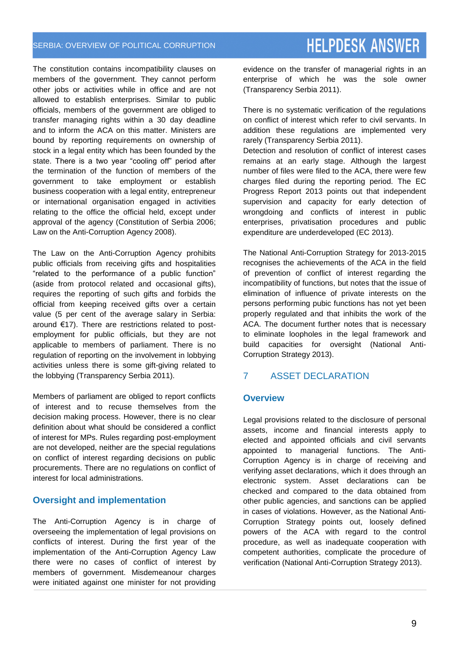The constitution contains incompatibility clauses on members of the government. They cannot perform other jobs or activities while in office and are not allowed to establish enterprises. Similar to public officials, members of the government are obliged to transfer managing rights within a 30 day deadline and to inform the ACA on this matter. Ministers are bound by reporting requirements on ownership of stock in a legal entity which has been founded by the state. There is a two year "cooling off" period after the termination of the function of members of the government to take employment or establish business cooperation with a legal entity, entrepreneur or international organisation engaged in activities relating to the office the official held, except under approval of the agency (Constitution of Serbia 2006; Law on the Anti-Corruption Agency 2008).

The Law on the Anti-Corruption Agency prohibits public officials from receiving gifts and hospitalities "related to the performance of a public function" (aside from protocol related and occasional gifts), requires the reporting of such gifts and forbids the official from keeping received gifts over a certain value (5 per cent of the average salary in Serbia: around €17). There are restrictions related to postemployment for public officials, but they are not applicable to members of parliament. There is no regulation of reporting on the involvement in lobbying activities unless there is some gift-giving related to the lobbying (Transparency Serbia 2011).

Members of parliament are obliged to report conflicts of interest and to recuse themselves from the decision making process. However, there is no clear definition about what should be considered a conflict of interest for MPs. Rules regarding post-employment are not developed, neither are the special regulations on conflict of interest regarding decisions on public procurements. There are no regulations on conflict of interest for local administrations.

### **Oversight and implementation**

The Anti-Corruption Agency is in charge of overseeing the implementation of legal provisions on conflicts of interest. During the first year of the implementation of the Anti-Corruption Agency Law there were no cases of conflict of interest by members of government. Misdemeanour charges were initiated against one minister for not providing

evidence on the transfer of managerial rights in an enterprise of which he was the sole owner (Transparency Serbia 2011).

There is no systematic verification of the regulations on conflict of interest which refer to civil servants. In addition these regulations are implemented very rarely (Transparency Serbia 2011).

Detection and resolution of conflict of interest cases remains at an early stage. Although the largest number of files were filed to the ACA, there were few charges filed during the reporting period. The EC Progress Report 2013 points out that independent supervision and capacity for early detection of wrongdoing and conflicts of interest in public enterprises, privatisation procedures and public expenditure are underdeveloped (EC 2013).

The National Anti-Corruption Strategy for 2013-2015 recognises the achievements of the ACA in the field of prevention of conflict of interest regarding the incompatibility of functions, but notes that the issue of elimination of influence of private interests on the persons performing pubic functions has not yet been properly regulated and that inhibits the work of the ACA. The document further notes that is necessary to eliminate loopholes in the legal framework and build capacities for oversight (National Anti-Corruption Strategy 2013).

# 7 ASSET DECLARATION

#### **Overview**

Legal provisions related to the disclosure of personal assets, income and financial interests apply to elected and appointed officials and civil servants appointed to managerial functions. The Anti-Corruption Agency is in charge of receiving and verifying asset declarations, which it does through an electronic system. Asset declarations can be checked and compared to the data obtained from other public agencies, and sanctions can be applied in cases of violations. However, as the National Anti-Corruption Strategy points out, loosely defined powers of the ACA with regard to the control procedure, as well as inadequate cooperation with competent authorities, complicate the procedure of verification (National Anti-Corruption Strategy 2013).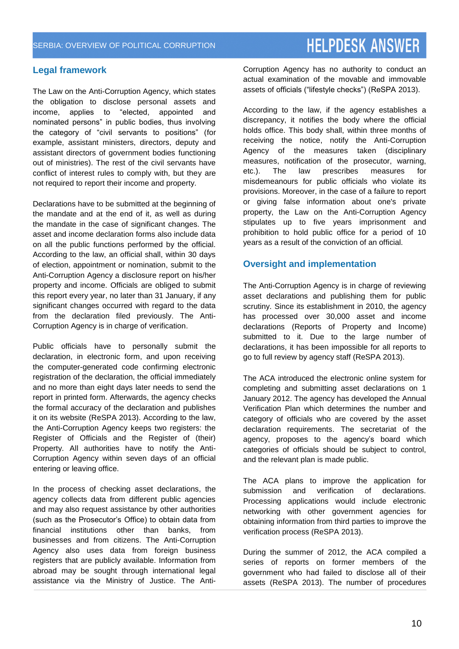# **HELPDESK ANSWER**

### **Legal framework**

The Law on the Anti-Corruption Agency, which states the obligation to disclose personal assets and income, applies to "elected, appointed and nominated persons" in public bodies, thus involving the category of "civil servants to positions" (for example, assistant ministers, directors, deputy and assistant directors of government bodies functioning out of ministries). The rest of the civil servants have conflict of interest rules to comply with, but they are not required to report their income and property.

Declarations have to be submitted at the beginning of the mandate and at the end of it, as well as during the mandate in the case of significant changes. The asset and income declaration forms also include data on all the public functions performed by the official. According to the law, an official shall, within 30 days of election, appointment or nomination, submit to the Anti-Corruption Agency a disclosure report on his/her property and income. Officials are obliged to submit this report every year, no later than 31 January, if any significant changes occurred with regard to the data from the declaration filed previously. The Anti-Corruption Agency is in charge of verification.

Public officials have to personally submit the declaration, in electronic form, and upon receiving the computer-generated code confirming electronic registration of the declaration, the official immediately and no more than eight days later needs to send the report in printed form. Afterwards, the agency checks the formal accuracy of the declaration and publishes it on its website (ReSPA 2013). According to the law, the Anti-Corruption Agency keeps two registers: the Register of Officials and the Register of (their) Property. All authorities have to notify the Anti-Corruption Agency within seven days of an official entering or leaving office.

In the process of checking asset declarations, the agency collects data from different public agencies and may also request assistance by other authorities (such as the Prosecutor's Office) to obtain data from financial institutions other than banks, from businesses and from citizens. The Anti-Corruption Agency also uses data from foreign business registers that are publicly available. Information from abroad may be sought through international legal assistance via the Ministry of Justice. The AntiCorruption Agency has no authority to conduct an actual examination of the movable and immovable assets of officials ("lifestyle checks") (ReSPA 2013).

According to the law, if the agency establishes a discrepancy, it notifies the body where the official holds office. This body shall, within three months of receiving the notice, notify the Anti-Corruption Agency of the measures taken (disciplinary measures, notification of the prosecutor, warning, etc.). The law prescribes measures for misdemeanours for public officials who violate its provisions. Moreover, in the case of a failure to report or giving false information about one's private property, the Law on the Anti-Corruption Agency stipulates up to five years imprisonment and prohibition to hold public office for a period of 10 years as a result of the conviction of an official.

#### **Oversight and implementation**

The Anti-Corruption Agency is in charge of reviewing asset declarations and publishing them for public scrutiny. Since its establishment in 2010, the agency has processed over 30,000 asset and income declarations (Reports of Property and Income) submitted to it. Due to the large number of declarations, it has been impossible for all reports to go to full review by agency staff (ReSPA 2013).

The ACA introduced the electronic online system for completing and submitting asset declarations on 1 January 2012. The agency has developed the Annual Verification Plan which determines the number and category of officials who are covered by the asset declaration requirements. The secretariat of the agency, proposes to the agency's board which categories of officials should be subject to control, and the relevant plan is made public.

The ACA plans to improve the application for submission and verification of declarations. Processing applications would include electronic networking with other government agencies for obtaining information from third parties to improve the verification process (ReSPA 2013).

During the summer of 2012, the ACA compiled a series of reports on former members of the government who had failed to disclose all of their assets (ReSPA 2013). The number of procedures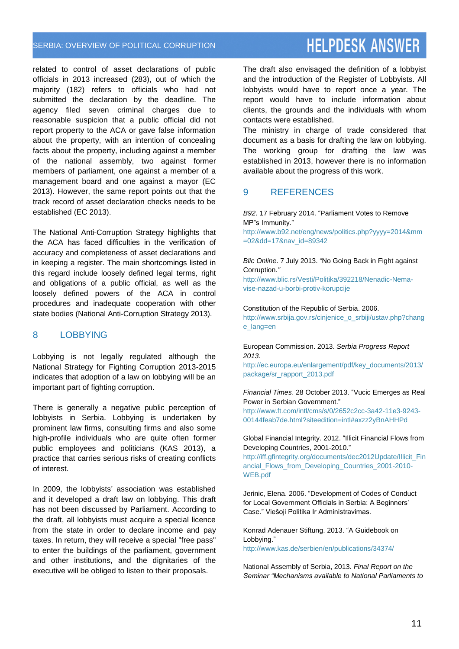related to control of asset declarations of public officials in 2013 increased (283), out of which the majority (182) refers to officials who had not submitted the declaration by the deadline. The agency filed seven criminal charges due to reasonable suspicion that a public official did not report property to the ACA or gave false information about the property, with an intention of concealing facts about the property, including against a member of the national assembly, two against former members of parliament, one against a member of a management board and one against a mayor (EC 2013). However, the same report points out that the track record of asset declaration checks needs to be established (EC 2013).

The National Anti-Corruption Strategy highlights that the ACA has faced difficulties in the verification of accuracy and completeness of asset declarations and in keeping a register. The main shortcomings listed in this regard include loosely defined legal terms, right and obligations of a public official, as well as the loosely defined powers of the ACA in control procedures and inadequate cooperation with other state bodies (National Anti-Corruption Strategy 2013).

#### 8 LOBBYING

Lobbying is not legally regulated although the National Strategy for Fighting Corruption 2013-2015 indicates that adoption of a law on lobbying will be an important part of fighting corruption.

There is generally a negative public perception of lobbyists in Serbia. Lobbying is undertaken by prominent law firms, consulting firms and also some high-profile individuals who are quite often former public employees and politicians (KAS 2013), a practice that carries serious risks of creating conflicts of interest.

In 2009, the lobbyists' association was established and it developed a draft law on lobbying. This draft has not been discussed by Parliament. According to the draft, all lobbyists must acquire a special licence from the state in order to declare income and pay taxes. In return, they will receive a special "free pass" to enter the buildings of the parliament, government and other institutions, and the dignitaries of the executive will be obliged to listen to their proposals.

**HELPDESK ANSWER** The draft also envisaged the definition of a lobbyist

and the introduction of the Register of Lobbyists. All lobbyists would have to report once a year. The report would have to include information about clients, the grounds and the individuals with whom contacts were established.

The ministry in charge of trade considered that document as a basis for drafting the law on lobbying. The working group for drafting the law was established in 2013, however there is no information available about the progress of this work.

#### 9 REFERENCES

*B92*. 17 February 2014. "Parliament Votes to Remove MP"s Immunity."

[http://www.b92.net/eng/news/politics.php?yyyy=2014&mm](http://www.b92.net/eng/news/politics.php?yyyy=2014&mm=02&dd=17&nav_id=89342) [=02&dd=17&nav\\_id=89342](http://www.b92.net/eng/news/politics.php?yyyy=2014&mm=02&dd=17&nav_id=89342)

#### *Blic Online*. 7 July 2013. "No Going Back in Fight against Corruption*."*

[http://www.blic.rs/Vesti/Politika/392218/Nenadic-Nema](http://www.blic.rs/Vesti/Politika/392218/Nenadic-Nema-vise-nazad-u-borbi-protiv-korupcije)[vise-nazad-u-borbi-protiv-korupcije](http://www.blic.rs/Vesti/Politika/392218/Nenadic-Nema-vise-nazad-u-borbi-protiv-korupcije)

#### Constitution of the Republic of Serbia. 2006.

[http://www.srbija.gov.rs/cinjenice\\_o\\_srbiji/ustav.php?chang](http://www.srbija.gov.rs/cinjenice_o_srbiji/ustav.php?change_lang=en) [e\\_lang=en](http://www.srbija.gov.rs/cinjenice_o_srbiji/ustav.php?change_lang=en)

European Commission. 2013. *Serbia Progress Report 2013.* 

[http://ec.europa.eu/enlargement/pdf/key\\_documents/2013/](http://ec.europa.eu/enlargement/pdf/key_documents/2013/package/sr_rapport_2013.pdf) [package/sr\\_rapport\\_2013.pdf](http://ec.europa.eu/enlargement/pdf/key_documents/2013/package/sr_rapport_2013.pdf)

#### *Financial Times*. 28 October 2013. "Vucic Emerges as Real Power in Serbian Government."

[http://www.ft.com/intl/cms/s/0/2652c2cc-3a42-11e3-9243-](http://www.ft.com/intl/cms/s/0/2652c2cc-3a42-11e3-9243-00144feab7de.html?siteedition=intl#axzz2yBnAHHPd) [00144feab7de.html?siteedition=intl#axzz2yBnAHHPd](http://www.ft.com/intl/cms/s/0/2652c2cc-3a42-11e3-9243-00144feab7de.html?siteedition=intl#axzz2yBnAHHPd)

Global Financial Integrity. 2012. "Illicit Financial Flows from Developing Countries, 2001-2010."

[http://iff.gfintegrity.org/documents/dec2012Update/Illicit\\_Fin](http://iff.gfintegrity.org/documents/dec2012Update/Illicit_Financial_Flows_from_Developing_Countries_2001-2010-WEB.pdf) [ancial\\_Flows\\_from\\_Developing\\_Countries\\_2001-2010-](http://iff.gfintegrity.org/documents/dec2012Update/Illicit_Financial_Flows_from_Developing_Countries_2001-2010-WEB.pdf) [WEB.pdf](http://iff.gfintegrity.org/documents/dec2012Update/Illicit_Financial_Flows_from_Developing_Countries_2001-2010-WEB.pdf)

Jerinic, Elena. 2006. "Development of Codes of Conduct for Local Government Officials in Serbia: A Beginners' Case." Viešoji Politika Ir Administravimas.

Konrad Adenauer Stiftung. 2013. "A Guidebook on Lobbying." <http://www.kas.de/serbien/en/publications/34374/>

National Assembly of Serbia, 2013. *Final Report on the Seminar "Mechanisms available to National Parliaments to*